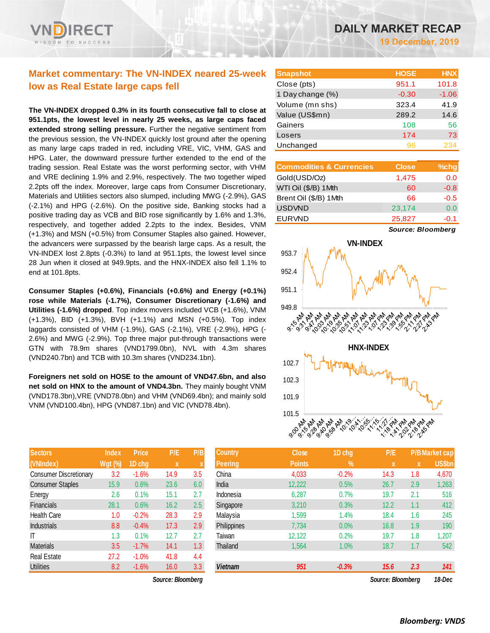# **Market commentary: The VN-INDEX neared 25-week low as Real Estate large caps fell**

**The VN-INDEX dropped 0.3% in its fourth consecutive fall to close at 951.1pts, the lowest level in nearly 25 weeks, as large caps faced extended strong selling pressure.** Further the negative sentiment from the previous session, the VN-INDEX quickly lost ground after the opening as many large caps traded in red, including VRE, VIC, VHM, GAS and HPG. Later, the downward pressure further extended to the end of the trading session. Real Estate was the worst performing sector, with VHM and VRE declining 1.9% and 2.9%, respectively. The two together wiped 2.2pts off the index. Moreover, large caps from Consumer Discretionary, Materials and Utilities sectors also slumped, including MWG (-2.9%), GAS (-2.1%) and HPG (-2.6%). On the positive side, Banking stocks had a positive trading day as VCB and BID rose significantly by 1.6% and 1.3%, respectively, and together added 2.2pts to the index. Besides, VNM (+1.3%) and MSN (+0.5%) from Consumer Staples also gained. However, the advancers were surpassed by the bearish large caps. As a result, the VN-INDEX lost 2.8pts (-0.3%) to land at 951.1pts, the lowest level since 28 Jun when it closed at 949.9pts, and the HNX-INDEX also fell 1.1% to end at 101.8pts.

**Consumer Staples (+0.6%), Financials (+0.6%) and Energy (+0.1%) rose while Materials (-1.7%), Consumer Discretionary (-1.6%) and Utilities (-1.6%) dropped**. Top index movers included VCB (+1.6%), VNM (+1.3%), BID (+1.3%), BVH (+1.1%) and MSN (+0.5%). Top index laggards consisted of VHM (-1.9%), GAS (-2.1%), VRE (-2.9%), HPG (- 2.6%) and MWG (-2.9%). Top three major put-through transactions were GTN with 78.9m shares (VND1799.0bn), NVL with 4.3m shares (VND240.7bn) and TCB with 10.3m shares (VND234.1bn).

**Foreigners net sold on HOSE to the amount of VND47.6bn, and also net sold on HNX to the amount of VND4.3bn.** They mainly bought VNM (VND178.3bn),VRE (VND78.0bn) and VHM (VND69.4bn); and mainly sold VNM (VND100.4bn), HPG (VND87.1bn) and VIC (VND78.4bn).

| <b>Sectors</b>                | <b>Index</b> | <b>Price</b> | P/E  | P/B |
|-------------------------------|--------------|--------------|------|-----|
| (VNIndex)                     | Wgt (%)      | 1D chg       | X    | X   |
| <b>Consumer Discretionary</b> | 3.2          | $-1.6%$      | 14.9 | 3.5 |
| <b>Consumer Staples</b>       | 15.9         | 0.6%         | 23.6 | 6.0 |
| Energy                        | 2.6          | 0.1%         | 15.1 | 2.7 |
| <b>Financials</b>             | 28.1         | 0.6%         | 16.2 | 2.5 |
| <b>Health Care</b>            | 1.0          | $-0.2%$      | 28.3 | 2.9 |
| <b>Industrials</b>            | 8.8          | $-0.4%$      | 17.3 | 2.9 |
| ıτ                            | 1.3          | 0.1%         | 12.7 | 2.7 |
| <b>Materials</b>              | 3.5          | $-1.7%$      | 14.1 | 1.3 |
| <b>Real Estate</b>            | 27.2         | $-1.0%$      | 41.8 | 4.4 |
| <b>Utilities</b>              | 8.2          | $-1.6%$      | 16.0 | 3.3 |

| <b>Snapshot</b>  | <b>HOSE</b> | <b>HNX</b> |
|------------------|-------------|------------|
| Close (pts)      | 951.1       | 101.8      |
| 1 Day change (%) | $-0.30$     | $-1.06$    |
| Volume (mn shs)  | 323.4       | 41.9       |
| Value (US\$mn)   | 289.2       | 14.6       |
| Gainers          | 108         | 56         |
| Losers           | 174         | 73         |
| Unchanged        | 96          |            |

| <b>Commodities &amp; Currencies</b> | <b>Close</b> | $%$ chg |
|-------------------------------------|--------------|---------|
| Gold(USD/Oz)                        | 1,475        | 0.0     |
| WTI Oil (\$/B) 1Mth                 | 60           | $-0.8$  |
| Brent Oil (\$/B) 1Mth               | 66           | $-0.5$  |
| <b>USDVND</b>                       | 23,174       | 0.0     |
| <b>EURVND</b>                       | 25,827       | -0.1    |

*Source: Bloomberg*



| Sectors                       | Index          | <b>Price</b> | P/E               | P/B | Country        | Close         | 1D chg        | P/E               |              | P/B Market cap |
|-------------------------------|----------------|--------------|-------------------|-----|----------------|---------------|---------------|-------------------|--------------|----------------|
| (VNIndex)                     | <b>Wgt (%)</b> | 1D chg       | $\mathbf{x}$      |     | <b>Peering</b> | <b>Points</b> | $\frac{9}{6}$ | $\mathbf{x}$      | $\mathbf{x}$ | <b>US\$bn</b>  |
| <b>Consumer Discretionary</b> | 3.2            | $-1.6%$      | 14.9              | 3.5 | China          | 4,033         | $-0.2%$       | 14.3              | 1.8          | 4,670          |
| <b>Consumer Staples</b>       | 15.9           | 0.6%         | 23.6              | 6.0 | India          | 12,222        | 0.5%          | 26.7              | 2.9          | 1,263          |
| Energy                        | 2.6            | 0.1%         | 15.1              | 2.7 | Indonesia      | 6,287         | 0.7%          | 19.7              | 2.1          | 516            |
| <b>Financials</b>             | 28.1           | 0.6%         | 16.2              | 2.5 | Singapore      | 3,210         | 0.3%          | 12.2              | 1.1          | 412            |
| Health Care                   | 1.0            | $-0.2%$      | 28.3              | 2.9 | Malaysia       | 1,599         | 1.4%          | 18.4              | 1.6          | 245            |
| <b>Industrials</b>            | 8.8            | $-0.4%$      | 17.3              | 2.9 | Philippines    | 7,734         | 0.0%          | 16.8              | 1.9          | 190            |
|                               | 1.3            | 0.1%         | 12.7              | 2.7 | Taiwan         | 12,122        | 0.2%          | 19.7              | 1.8          | 1,207          |
| <b>Materials</b>              | 3.5            | $-1.7%$      | 14.1              | 1.3 | Thailand       | 1,564         | 1.0%          | 18.7              | 1.7          | 542            |
| Real Estate                   | 27.2           | $-1.0%$      | 41.8              | 4.4 |                |               |               |                   |              |                |
| <b>Utilities</b>              | 8.2            | $-1.6%$      | 16.0              | 3.3 | <b>Vietnam</b> | 951           | $-0.3%$       | 15.6              | 2.3          | 141            |
|                               |                |              | Source: Bloombera |     |                |               |               | Source: Bloombera |              | 18-Dec         |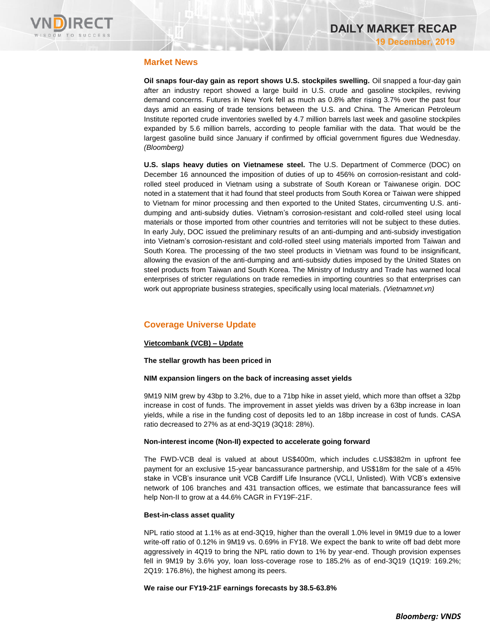

# **Market News**

**Oil snaps four-day gain as report shows U.S. stockpiles swelling.** Oil snapped a four-day gain after an industry report showed a large build in U.S. crude and gasoline stockpiles, reviving demand concerns. Futures in New York fell as much as 0.8% after rising 3.7% over the past four days amid an easing of trade tensions between the U.S. and China. The American Petroleum Institute reported crude inventories swelled by 4.7 million barrels last week and gasoline stockpiles expanded by 5.6 million barrels, according to people familiar with the data. That would be the largest gasoline build since January if confirmed by official government figures due Wednesday. *(Bloomberg)*

**U.S. slaps heavy duties on Vietnamese steel.** The U.S. Department of Commerce (DOC) on December 16 announced the imposition of duties of up to 456% on corrosion-resistant and coldrolled steel produced in Vietnam using a substrate of South Korean or Taiwanese origin. DOC noted in a statement that it had found that steel products from South Korea or Taiwan were shipped to Vietnam for minor processing and then exported to the United States, circumventing U.S. antidumping and anti-subsidy duties. Vietnam's corrosion-resistant and cold-rolled steel using local materials or those imported from other countries and territories will not be subject to these duties. In early July, DOC issued the preliminary results of an anti-dumping and anti-subsidy investigation into Vietnam's corrosion-resistant and cold-rolled steel using materials imported from Taiwan and South Korea. The processing of the two steel products in Vietnam was found to be insignificant, allowing the evasion of the anti-dumping and anti-subsidy duties imposed by the United States on steel products from Taiwan and South Korea. The Ministry of Industry and Trade has warned local enterprises of stricter regulations on trade remedies in importing countries so that enterprises can work out appropriate business strategies, specifically using local materials. *(Vietnamnet.vn)*

# **Coverage Universe Update**

### **Vietcombank (VCB) – Update**

**The stellar growth has been priced in**

### **NIM expansion lingers on the back of increasing asset yields**

9M19 NIM grew by 43bp to 3.2%, due to a 71bp hike in asset yield, which more than offset a 32bp increase in cost of funds. The improvement in asset yields was driven by a 63bp increase in loan yields, while a rise in the funding cost of deposits led to an 18bp increase in cost of funds. CASA ratio decreased to 27% as at end-3Q19 (3Q18: 28%).

### **Non-interest income (Non-II) expected to accelerate going forward**

The FWD-VCB deal is valued at about US\$400m, which includes c.US\$382m in upfront fee payment for an exclusive 15-year bancassurance partnership, and US\$18m for the sale of a 45% stake in VCB's insurance unit VCB Cardiff Life Insurance (VCLI, Unlisted). With VCB's extensive network of 106 branches and 431 transaction offices, we estimate that bancassurance fees will help Non-II to grow at a 44.6% CAGR in FY19F-21F.

### **Best-in-class asset quality**

NPL ratio stood at 1.1% as at end-3Q19, higher than the overall 1.0% level in 9M19 due to a lower write-off ratio of 0.12% in 9M19 vs. 0.69% in FY18. We expect the bank to write off bad debt more aggressively in 4Q19 to bring the NPL ratio down to 1% by year-end. Though provision expenses fell in 9M19 by 3.6% yoy, loan loss-coverage rose to 185.2% as of end-3Q19 (1Q19: 169.2%; 2Q19: 176.8%), the highest among its peers.

### **We raise our FY19-21F earnings forecasts by 38.5-63.8%**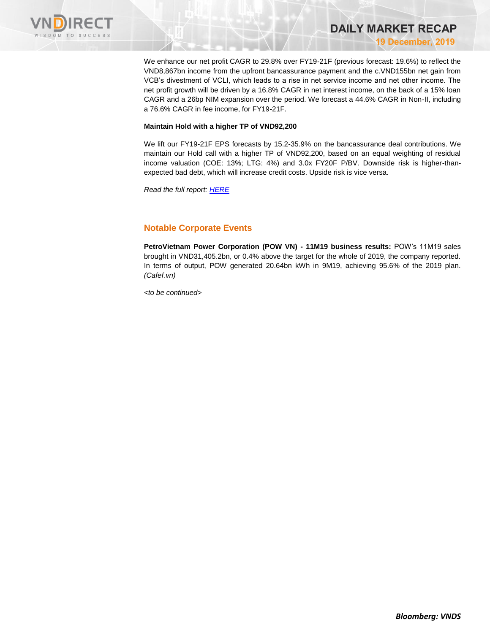

We enhance our net profit CAGR to 29.8% over FY19-21F (previous forecast: 19.6%) to reflect the VND8,867bn income from the upfront bancassurance payment and the c.VND155bn net gain from VCB's divestment of VCLI, which leads to a rise in net service income and net other income. The net profit growth will be driven by a 16.8% CAGR in net interest income, on the back of a 15% loan CAGR and a 26bp NIM expansion over the period. We forecast a 44.6% CAGR in Non-II, including a 76.6% CAGR in fee income, for FY19-21F.

**DAILY MARKET RECAP** 

**19 December, 2019**

#### **Maintain Hold with a higher TP of VND92,200**

We lift our FY19-21F EPS forecasts by 15.2-35.9% on the bancassurance deal contributions. We maintain our Hold call with a higher TP of VND92,200, based on an equal weighting of residual income valuation (COE: 13%; LTG: 4%) and 3.0x FY20F P/BV. Downside risk is higher-thanexpected bad debt, which will increase credit costs. Upside risk is vice versa.

*Read the full report: [HERE](https://apc01.safelinks.protection.outlook.com/?url=https%3A%2F%2Fnhanha-public-api.vndirect.com.vn%2Fclick%2FOGE0ODlmZDA2ODYwMjZlMjAxNjg5OGJlM2IzNDMxODU%3D%2FMGY4YjgzZThiNmFiNDEzOGIyMDlkOWI1MjQxMjhhMzE%3D%2F0f8b83e8b6ab4138b209d9b524128a31-VCB_Update_20191218.pdf%2FcmVzZWFyY2hAdm5kaXJlY3QuY29tLnZu%2FMTM0MTU%3D&data=01%7C01%7Ctrung.phanthanh%40vndirect.com.vn%7C384a83efeaec4a5f19de08d783873af7%7C205877dd7b5242a0869607cbd63de0f4%7C0&sdata=FAn0w9V4jWSlETlvaQWI3AuF%2BbsFjAW36GpZSdd1q5U%3D&reserved=0)*

### **Notable Corporate Events**

**PetroVietnam Power Corporation (POW VN) - 11M19 business results:** POW's 11M19 sales brought in VND31,405.2bn, or 0.4% above the target for the whole of 2019, the company reported. In terms of output, POW generated 20.64bn kWh in 9M19, achieving 95.6% of the 2019 plan. *(Cafef.vn)*

*<to be continued>*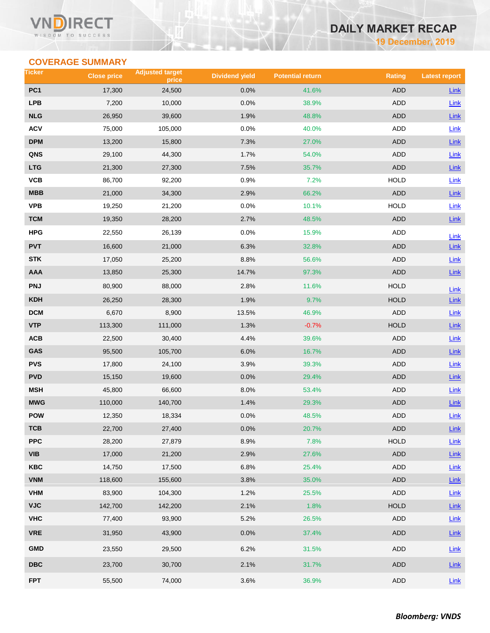# **DAILY MARKET RECAP**

**19 December, 2019**

# **COVERAGE SUMMARY**

| Ticker          | <b>Close price</b> | <b>Adjusted target</b><br>price | <b>Dividend yield</b> | <b>Potential return</b> | <b>Rating</b> | <b>Latest report</b> |
|-----------------|--------------------|---------------------------------|-----------------------|-------------------------|---------------|----------------------|
| PC <sub>1</sub> | 17,300             | 24,500                          | 0.0%                  | 41.6%                   | <b>ADD</b>    | Link                 |
| <b>LPB</b>      | 7,200              | 10,000                          | 0.0%                  | 38.9%                   | <b>ADD</b>    | Link                 |
| <b>NLG</b>      | 26,950             | 39,600                          | 1.9%                  | 48.8%                   | <b>ADD</b>    | Link                 |
| <b>ACV</b>      | 75,000             | 105,000                         | 0.0%                  | 40.0%                   | <b>ADD</b>    | <b>Link</b>          |
| <b>DPM</b>      | 13,200             | 15,800                          | 7.3%                  | 27.0%                   | <b>ADD</b>    | Link                 |
| QNS             | 29,100             | 44,300                          | 1.7%                  | 54.0%                   | <b>ADD</b>    | Link                 |
| <b>LTG</b>      | 21,300             | 27,300                          | 7.5%                  | 35.7%                   | <b>ADD</b>    | $Link$               |
| VCB             | 86,700             | 92,200                          | 0.9%                  | 7.2%                    | <b>HOLD</b>   | Link                 |
| <b>MBB</b>      | 21,000             | 34,300                          | 2.9%                  | 66.2%                   | <b>ADD</b>    | Link                 |
| <b>VPB</b>      | 19,250             | 21,200                          | 0.0%                  | 10.1%                   | <b>HOLD</b>   | Link                 |
| <b>TCM</b>      | 19,350             | 28,200                          | 2.7%                  | 48.5%                   | <b>ADD</b>    | Link                 |
| <b>HPG</b>      | 22,550             | 26,139                          | 0.0%                  | 15.9%                   | <b>ADD</b>    | Link                 |
| <b>PVT</b>      | 16,600             | 21,000                          | 6.3%                  | 32.8%                   | <b>ADD</b>    | Link                 |
| <b>STK</b>      | 17,050             | 25,200                          | 8.8%                  | 56.6%                   | <b>ADD</b>    | Link                 |
| <b>AAA</b>      | 13,850             | 25,300                          | 14.7%                 | 97.3%                   | <b>ADD</b>    | $Link$               |
| <b>PNJ</b>      | 80,900             | 88,000                          | 2.8%                  | 11.6%                   | <b>HOLD</b>   | $Link$               |
| <b>KDH</b>      | 26,250             | 28,300                          | 1.9%                  | 9.7%                    | <b>HOLD</b>   | Link                 |
| <b>DCM</b>      | 6,670              | 8,900                           | 13.5%                 | 46.9%                   | <b>ADD</b>    | Link                 |
| <b>VTP</b>      | 113,300            | 111,000                         | 1.3%                  | $-0.7%$                 | <b>HOLD</b>   | Link                 |
| ACB             | 22,500             | 30,400                          | 4.4%                  | 39.6%                   | <b>ADD</b>    | Link                 |
| GAS             | 95,500             | 105,700                         | 6.0%                  | 16.7%                   | <b>ADD</b>    | $Link$               |
| <b>PVS</b>      | 17,800             | 24,100                          | 3.9%                  | 39.3%                   | <b>ADD</b>    | Link                 |
| <b>PVD</b>      | 15,150             | 19,600                          | 0.0%                  | 29.4%                   | <b>ADD</b>    | Link                 |
| <b>MSH</b>      | 45,800             | 66,600                          | 8.0%                  | 53.4%                   | <b>ADD</b>    | Link                 |
| <b>MWG</b>      | 110,000            | 140,700                         | 1.4%                  | 29.3%                   | <b>ADD</b>    | Link                 |
| <b>POW</b>      | 12,350             | 18,334                          | 0.0%                  | 48.5%                   | <b>ADD</b>    | Link                 |
| TCB             | 22,700             | 27,400                          | 0.0%                  | 20.7%                   | ADD           | $Link$               |
| <b>PPC</b>      | 28,200             | 27,879                          | 8.9%                  | 7.8%                    | <b>HOLD</b>   | $Link$               |
| <b>VIB</b>      | 17,000             | 21,200                          | 2.9%                  | 27.6%                   | ADD           | $Link$               |
| KBC             | 14,750             | 17,500                          | 6.8%                  | 25.4%                   | ADD           | Link                 |
| <b>VNM</b>      | 118,600            | 155,600                         | 3.8%                  | 35.0%                   | ADD           | Link                 |
| <b>VHM</b>      | 83,900             | 104,300                         | 1.2%                  | 25.5%                   | ADD           | Link                 |
| <b>VJC</b>      | 142,700            | 142,200                         | 2.1%                  | 1.8%                    | <b>HOLD</b>   | Link                 |
| <b>VHC</b>      | 77,400             | 93,900                          | 5.2%                  | 26.5%                   | ADD           | Link                 |
| <b>VRE</b>      | 31,950             | 43,900                          | 0.0%                  | 37.4%                   | ADD           | $Link$               |
| <b>GMD</b>      | 23,550             | 29,500                          | 6.2%                  | 31.5%                   | ADD           | Link                 |
| <b>DBC</b>      | 23,700             | 30,700                          | 2.1%                  | 31.7%                   | ADD           | <b>Link</b>          |
| <b>FPT</b>      | 55,500             | 74,000                          | 3.6%                  | 36.9%                   | ADD           | $Link$               |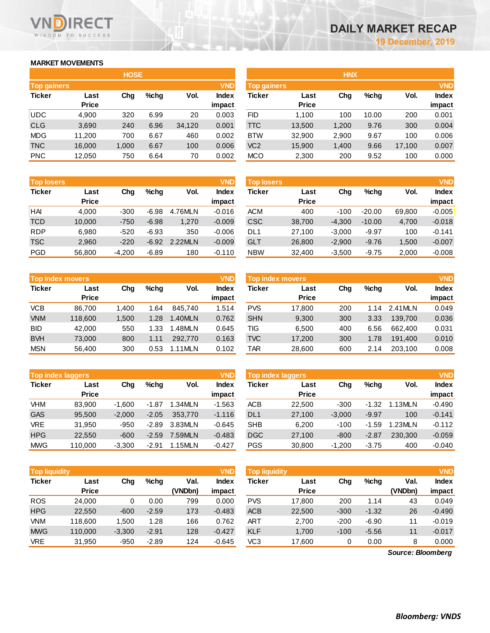# **MARKET MOVEMENTS**

WISDOM TO SUCCESS

**RECT** 

|                    | <b>HOSE</b>  |       |      |        |              |  |  |  |  |  |
|--------------------|--------------|-------|------|--------|--------------|--|--|--|--|--|
| <b>Top gainers</b> |              |       |      |        | <b>VND</b>   |  |  |  |  |  |
| <b>Ticker</b>      | Last         | Chg   | %chq | Vol.   | <b>Index</b> |  |  |  |  |  |
|                    | <b>Price</b> |       |      |        | impact       |  |  |  |  |  |
| <b>UDC</b>         | 4,900        | 320   | 6.99 | 20     | 0.003        |  |  |  |  |  |
| <b>CLG</b>         | 3,690        | 240   | 6.96 | 34,120 | 0.001        |  |  |  |  |  |
| <b>MDG</b>         | 11,200       | 700   | 6.67 | 460    | 0.002        |  |  |  |  |  |
| <b>TNC</b>         | 16,000       | 1,000 | 6.67 | 100    | 0.006        |  |  |  |  |  |
| <b>PNC</b>         | 12,050       | 750   | 6.64 | 70     | 0.002        |  |  |  |  |  |

| <b>Top losers</b> |              |          |         |         | <b>VND</b>   |
|-------------------|--------------|----------|---------|---------|--------------|
| <b>Ticker</b>     | Last         | Cha      | %chq    | Vol.    | <b>Index</b> |
|                   | <b>Price</b> |          |         |         | impact       |
| HAI               | 4.000        | $-300$   | $-6.98$ | 4.76MLN | $-0.016$     |
| <b>TCD</b>        | 10,000       | $-750$   | $-6.98$ | 1,270   | $-0.009$     |
| <b>RDP</b>        | 6.980        | $-520$   | $-6.93$ | 350     | $-0.006$     |
| <b>TSC</b>        | 2,960        | $-220$   | $-6.92$ | 2.22MLN | $-0.009$     |
| PGD               | 56,800       | $-4,200$ | $-6.89$ | 180     | $-0.110$     |

|               | <b>Top index movers</b> |       |      |         |              |  |  |  |  |  |
|---------------|-------------------------|-------|------|---------|--------------|--|--|--|--|--|
| <b>Ticker</b> | Last                    | Cha   | %chq | Vol.    | <b>Index</b> |  |  |  |  |  |
|               | <b>Price</b>            |       |      |         | impact       |  |  |  |  |  |
| <b>VCB</b>    | 86,700                  | 1,400 | 1.64 | 845,740 | 1.514        |  |  |  |  |  |
| <b>VNM</b>    | 118,600                 | 1,500 | 1.28 | 1.40MLN | 0.762        |  |  |  |  |  |
| <b>BID</b>    | 42,000                  | 550   | 1.33 | 1.48MLN | 0.645        |  |  |  |  |  |
| <b>BVH</b>    | 73,000                  | 800   | 1.11 | 292.770 | 0.163        |  |  |  |  |  |
| <b>MSN</b>    | 56,400                  | 300   | 0.53 | 1.11MLN | 0.102        |  |  |  |  |  |

|               | <b>VND</b><br><b>Top index laggers</b> |          |         |         |          |  |  |  |  |  |
|---------------|----------------------------------------|----------|---------|---------|----------|--|--|--|--|--|
| <b>Ticker</b> | Last                                   | Cha      | %chq    | Vol.    | Index    |  |  |  |  |  |
|               | <b>Price</b>                           |          |         |         | impact   |  |  |  |  |  |
| <b>VHM</b>    | 83,900                                 | $-1,600$ | $-1.87$ | 1.34MLN | $-1.563$ |  |  |  |  |  |
| <b>GAS</b>    | 95,500                                 | $-2,000$ | $-2.05$ | 353.770 | $-1.116$ |  |  |  |  |  |
| <b>VRE</b>    | 31,950                                 | $-950$   | $-2.89$ | 3.83MLN | $-0.645$ |  |  |  |  |  |
| <b>HPG</b>    | 22.550                                 | $-600$   | $-2.59$ | 7.59MLN | $-0.483$ |  |  |  |  |  |
| <b>MWG</b>    | 110,000                                | $-3,300$ | $-2.91$ | 1.15MLN | $-0.427$ |  |  |  |  |  |

| <b>Top liquidity</b> |              |          |         |         | <b>VND</b>   |
|----------------------|--------------|----------|---------|---------|--------------|
| <b>Ticker</b>        | Last         | Cha      | %chq    | Val.    | <b>Index</b> |
|                      | <b>Price</b> |          |         | (VNDbn) | impact       |
| <b>ROS</b>           | 24,000       | 0        | 0.00    | 799     | 0.000        |
| <b>HPG</b>           | 22,550       | $-600$   | $-2.59$ | 173     | $-0.483$     |
| <b>VNM</b>           | 118,600      | 1,500    | 1.28    | 166     | 0.762        |
| <b>MWG</b>           | 110,000      | $-3,300$ | $-2.91$ | 128     | $-0.427$     |
| VRE                  | 31,950       | $-950$   | $-2.89$ | 124     | $-0.645$     |

|               |              | <b>HOSE</b> |         |        |              | <b>HNX</b>         |              |       |         |        |              |
|---------------|--------------|-------------|---------|--------|--------------|--------------------|--------------|-------|---------|--------|--------------|
| Top gainers   |              |             |         |        | <b>VND</b>   | <b>Top gainers</b> |              |       |         |        | <b>VND</b>   |
| <b>Ticker</b> | Last         | Chg         | $%$ chg | Vol.   | <b>Index</b> | Ticker             | Last         | Chg   | $%$ chq | Vol.   | <b>Index</b> |
|               | <b>Price</b> |             |         |        | impact       |                    | <b>Price</b> |       |         |        | impact       |
| UDC           | 4,900        | 320         | 6.99    | 20     | 0.003        | <b>FID</b>         | 1.100        | 100   | 10.00   | 200    | 0.001        |
| <b>CLG</b>    | 3,690        | 240         | 6.96    | 34,120 | 0.001        | <b>TTC</b>         | 13,500       | 1,200 | 9.76    | 300    | 0.004        |
| MDG           | 11,200       | 700         | 6.67    | 460    | 0.002        | <b>BTW</b>         | 32,900       | 2,900 | 9.67    | 100    | 0.006        |
| <b>TNC</b>    | 16,000       | 1,000       | 6.67    | 100    | 0.006        | VC <sub>2</sub>    | 15,900       | 1,400 | 9.66    | 17,100 | 0.007        |
| <b>PNC</b>    | 12,050       | 750         | 6.64    | 70     | 0.002        | <b>MCO</b>         | 2,300        | 200   | 9.52    | 100    | 0.000        |
|               |              |             |         |        |              |                    |              |       |         |        |              |

| <b>VND</b><br><b>Top losers</b><br><b>Top losers</b> |              |          |         |         |          |            |              |          |          | <b>VND</b> |              |
|------------------------------------------------------|--------------|----------|---------|---------|----------|------------|--------------|----------|----------|------------|--------------|
| Ticker                                               | Last         | Chg      | %chq    | Vol.    | Index    | Ticker     | Last         | Chg      | $%$ chq  | Vol.       | <b>Index</b> |
|                                                      | <b>Price</b> |          |         |         | impact   |            | <b>Price</b> |          |          |            | impact       |
| HAI                                                  | 4.000        | $-300$   | $-6.98$ | 4.76MLN | $-0.016$ | <b>ACM</b> | 400          | $-100$   | $-20.00$ | 69,800     | $-0.005$     |
| TCD                                                  | 10,000       | $-750$   | $-6.98$ | 1,270   | $-0.009$ | <b>CSC</b> | 38,700       | $-4,300$ | $-10.00$ | 4,700      | $-0.018$     |
| <b>RDP</b>                                           | 6.980        | $-520$   | $-6.93$ | 350     | $-0.006$ | DL1        | 27.100       | $-3.000$ | $-9.97$  | 100        | $-0.141$     |
| <b>TSC</b>                                           | 2,960        | $-220$   | $-6.92$ | 2.22MLN | $-0.009$ | <b>GLT</b> | 26,800       | $-2,900$ | $-9.76$  | 1,500      | $-0.007$     |
| PGD                                                  | 56,800       | $-4,200$ | $-6.89$ | 180     | $-0.110$ | <b>NBW</b> | 32,400       | $-3,500$ | $-9.75$  | 2,000      | $-0.008$     |
|                                                      |              |          |         |         |          |            |              |          |          |            |              |

|            | Top index movers |       |      |         | <b>VND</b> | Top index movers |              |     |         |         |              |
|------------|------------------|-------|------|---------|------------|------------------|--------------|-----|---------|---------|--------------|
| Ticker     | Last             | Chg   | %chq | Vol.    | Index      | Ticker           | Last         | Chg | $%$ chq | Vol.    | <b>Index</b> |
|            | <b>Price</b>     |       |      |         | impact     |                  | <b>Price</b> |     |         |         | impact       |
| VCB        | 86.700           | 1.400 | .64  | 845.740 | 1.514      | <b>PVS</b>       | 17,800       | 200 | 1.14    | 2.41MLN | 0.049        |
| <b>VNM</b> | 118,600          | 1.500 | 1.28 | 1.40MLN | 0.762      | <b>SHN</b>       | 9,300        | 300 | 3.33    | 139.700 | 0.036        |
| BID        | 42.000           | 550   | 1.33 | .48MLN  | 0.645      | TIG              | 6.500        | 400 | 6.56    | 662,400 | 0.031        |
| <b>BVH</b> | 73.000           | 800   | 1.11 | 292,770 | 0.163      | <b>TVC</b>       | 17,200       | 300 | 1.78    | 191.400 | 0.010        |
| MSN        | 56.400           | 300   | 0.53 | 1.11MLN | 0.102      | TAR              | 28,600       | 600 | 2.14    | 203.100 | 0.008        |

| <b>Top index laggers</b> |              |          |         |         | <b>VND</b> | Top index laggers |              |          |         |         |              |
|--------------------------|--------------|----------|---------|---------|------------|-------------------|--------------|----------|---------|---------|--------------|
| Ticker                   | Last         | Chg      | %chq    | Vol.    | Index      | Ticker            | Last         | Chg      | $%$ chq | Vol.    | <b>Index</b> |
|                          | <b>Price</b> |          |         |         | impact     |                   | <b>Price</b> |          |         |         | impact       |
| VHM                      | 83.900       | $-1.600$ | -1.87   | 1.34MLN | $-1.563$   | <b>ACB</b>        | 22.500       | $-300$   | $-1.32$ | 1.13MLN | $-0.490$     |
| <b>GAS</b>               | 95.500       | $-2.000$ | $-2.05$ | 353,770 | $-1.116$   | DL <sub>1</sub>   | 27,100       | $-3.000$ | $-9.97$ | 100     | $-0.141$     |
| <b>VRE</b>               | 31.950       | $-950$   | $-2.89$ | 3.83MLN | $-0.645$   | <b>SHB</b>        | 6.200        | $-100$   | $-1.59$ | 1.23MLN | $-0.112$     |
| <b>HPG</b>               | 22,550       | $-600$   | $-2.59$ | 7.59MLN | $-0.483$   | <b>DGC</b>        | 27,100       | $-800$   | $-2.87$ | 230.300 | $-0.059$     |
| MWG                      | 110.000      | $-3.300$ | $-2.91$ | 1.15MLN | $-0.427$   | <b>PGS</b>        | 30,800       | $-1,200$ | $-3.75$ | 400     | $-0.040$     |

| <b>Top liquidity</b> |          |         |         | <b>VND</b>   |            |              |                      |         |         | <b>VND</b>   |
|----------------------|----------|---------|---------|--------------|------------|--------------|----------------------|---------|---------|--------------|
| Last                 | Chg      | %chq    | Val.    | <b>Index</b> | Ticker     | Last         | Chg                  | $%$ chq | Val.    | <b>Index</b> |
| <b>Price</b>         |          |         | (VNDbn) | impact       |            | <b>Price</b> |                      |         | (VNDbn) | impact       |
| 24,000               | $\Omega$ | 0.00    | 799     | 0.000        | <b>PVS</b> | 17.800       | 200                  | 1.14    | 43      | 0.049        |
| 22,550               | $-600$   | $-2.59$ | 173     | $-0.483$     | <b>ACB</b> | 22,500       | $-300$               | $-1.32$ | 26      | $-0.490$     |
| 118,600              | 1.500    | 1.28    | 166     | 0.762        | ART        | 2,700        | $-200$               | $-6.90$ | 11      | $-0.019$     |
| 110,000              | $-3,300$ | $-2.91$ | 128     | $-0.427$     | <b>KLF</b> | 1,700        | $-100$               | $-5.56$ | 11      | $-0.017$     |
| 31,950               | $-950$   | $-2.89$ | 124     | $-0.645$     | VC3        | 17,600       | 0                    | 0.00    | 8       | 0.000        |
|                      |          |         |         |              |            |              | <b>Top liquidity</b> |         |         |              |

*Source: Bloomberg*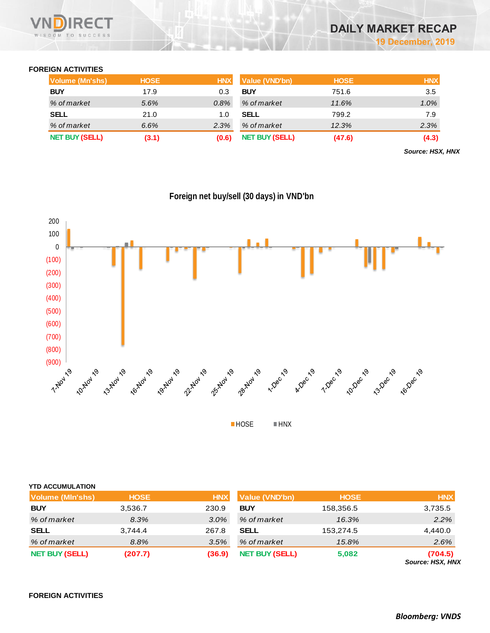

# **FOREIGN ACTIVITIES**

| Volume (Mn'shs)       | <b>HOSE</b> | <b>HNX</b> | Value (VND'bn)        | <b>HOSE</b> | <b>HNX</b> |
|-----------------------|-------------|------------|-----------------------|-------------|------------|
| <b>BUY</b>            | 17.9        | 0.3        | <b>BUY</b>            | 751.6       | 3.5        |
| % of market           | 5.6%        | 0.8%       | % of market           | 11.6%       | $1.0\%$    |
| <b>SELL</b>           | 21.0        | 1.0        | <b>SELL</b>           | 799.2       | 7.9        |
| % of market           | 6.6%        | 2.3%       | % of market           | 12.3%       | 2.3%       |
| <b>NET BUY (SELL)</b> | (3.1)       | (0.6)      | <b>NET BUY (SELL)</b> | (47.6)      | (4.3)      |

*Source: HSX, HNX*



**Foreign net buy/sell (30 days) in VND'bn**

**HOSE HNX** 

| <b>YTD ACCUMULATION</b> |             |            |                       |             |                             |
|-------------------------|-------------|------------|-----------------------|-------------|-----------------------------|
| <b>Volume (MIn'shs)</b> | <b>HOSE</b> | <b>HNX</b> | <b>Value (VND'bn)</b> | <b>HOSE</b> | <b>HNX</b>                  |
| <b>BUY</b>              | 3,536.7     | 230.9      | <b>BUY</b>            | 158,356.5   | 3,735.5                     |
| % of market             | 8.3%        | 3.0%       | % of market           | 16.3%       | 2.2%                        |
| <b>SELL</b>             | 3,744.4     | 267.8      | <b>SELL</b>           | 153,274.5   | 4,440.0                     |
| % of market             | 8.8%        | 3.5%       | % of market           | 15.8%       | 2.6%                        |
| <b>NET BUY (SELL)</b>   | (207.7)     | (36.9)     | <b>NET BUY (SELL)</b> | 5,082       | (704.5)<br>Source: HSX, HNX |

**FOREIGN ACTIVITIES**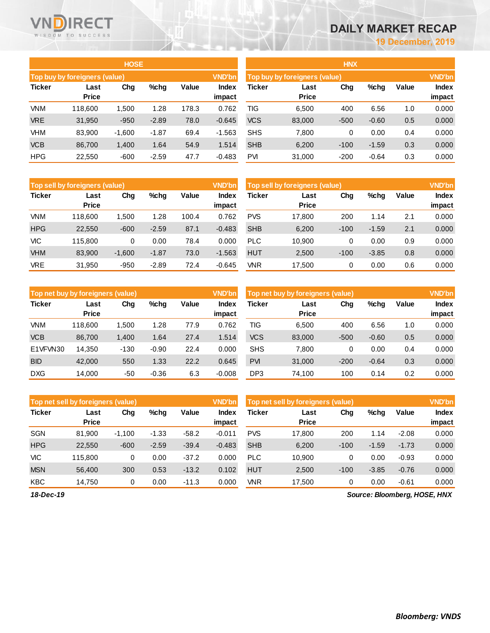# **DAILY MARKET RECAP**

**19 December, 2019**

|               |                               | <b>HOSE</b> |         |       |                 | <b>HNX</b>                    |                      |               |         |       |                        |  |  |
|---------------|-------------------------------|-------------|---------|-------|-----------------|-------------------------------|----------------------|---------------|---------|-------|------------------------|--|--|
|               | Top buy by foreigners (value) |             |         |       | <b>VND'bn</b>   | Top buy by foreigners (value) |                      | <b>VND'bn</b> |         |       |                        |  |  |
| <b>Ticker</b> | Last<br><b>Price</b>          | Chg         | $%$ chg | Value | Index<br>impact | <b>Ticker</b>                 | Last<br><b>Price</b> | Chg           | %chg    | Value | <b>Index</b><br>impact |  |  |
| <b>VNM</b>    | 118,600                       | 1,500       | 1.28    | 178.3 | 0.762           | TIG                           | 6,500                | 400           | 6.56    | 1.0   | 0.000                  |  |  |
| <b>VRE</b>    | 31,950                        | $-950$      | $-2.89$ | 78.0  | $-0.645$        | <b>VCS</b>                    | 83,000               | $-500$        | $-0.60$ | 0.5   | 0.000                  |  |  |
| <b>VHM</b>    | 83,900                        | $-1,600$    | $-1.87$ | 69.4  | $-1.563$        | <b>SHS</b>                    | 7,800                | 0             | 0.00    | 0.4   | 0.000                  |  |  |
| <b>VCB</b>    | 86,700                        | 1,400       | 1.64    | 54.9  | 1.514           | <b>SHB</b>                    | 6,200                | $-100$        | $-1.59$ | 0.3   | 0.000                  |  |  |
| <b>HPG</b>    | 22,550                        | $-600$      | $-2.59$ | 47.7  | $-0.483$        | <b>PVI</b>                    | 31,000               | $-200$        | $-0.64$ | 0.3   | 0.000                  |  |  |

|               | <b>Top sell by foreigners (value)</b> |          |         |       | <b>VND'bn</b>          | Top sell by foreigners (value) | <b>VND'bn</b>        |        |         |       |                        |
|---------------|---------------------------------------|----------|---------|-------|------------------------|--------------------------------|----------------------|--------|---------|-------|------------------------|
| <b>Ticker</b> | Last<br><b>Price</b>                  | Chg      | %chq    | Value | <b>Index</b><br>impact | Ticker                         | Last<br><b>Price</b> | Chg    | %chg    | Value | <b>Index</b><br>impact |
| VNM           | 118,600                               | 1.500    | 1.28    | 100.4 | 0.762                  | <b>PVS</b>                     | 17.800               | 200    | 1.14    | 2.1   | 0.000                  |
| <b>HPG</b>    | 22,550                                | $-600$   | $-2.59$ | 87.1  | $-0.483$               | <b>SHB</b>                     | 6,200                | $-100$ | $-1.59$ | 2.1   | 0.000                  |
| <b>VIC</b>    | 115.800                               | 0        | 0.00    | 78.4  | 0.000                  | <b>PLC</b>                     | 10,900               | 0      | 0.00    | 0.9   | 0.000                  |
| <b>VHM</b>    | 83,900                                | $-1,600$ | $-1.87$ | 73.0  | $-1.563$               | <b>HUT</b>                     | 2,500                | $-100$ | $-3.85$ | 0.8   | 0.000                  |
| <b>VRE</b>    | 31.950                                | $-950$   | $-2.89$ | 72.4  | $-0.645$               | VNR                            | 17.500               | 0      | 0.00    | 0.6   | 0.000                  |

|               | Top net buy by foreigners (value) |        |         |       | <b>VND'bn</b>          |            | Top net buy by foreigners (value) |        |         | <b>VND'bn</b> |                        |
|---------------|-----------------------------------|--------|---------|-------|------------------------|------------|-----------------------------------|--------|---------|---------------|------------------------|
| <b>Ticker</b> | Last<br><b>Price</b>              | Chg    | $%$ chq | Value | <b>Index</b><br>impact | Ticker     | Last<br><b>Price</b>              | Chg    | %chg    | Value         | <b>Index</b><br>impact |
| VNM           | 118.600                           | .500   | 1.28    | 77.9  | 0.762                  | TIG        | 6.500                             | 400    | 6.56    | 1.0           | 0.000                  |
| <b>VCB</b>    | 86.700                            | 1,400  | 1.64    | 27.4  | 1.514                  | <b>VCS</b> | 83,000                            | $-500$ | $-0.60$ | 0.5           | 0.000                  |
| E1VFVN30      | 14,350                            | $-130$ | $-0.90$ | 22.4  | 0.000                  | <b>SHS</b> | 7.800                             | 0      | 0.00    | 0.4           | 0.000                  |
| <b>BID</b>    | 42,000                            | 550    | 1.33    | 22.2  | 0.645                  | <b>PVI</b> | 31,000                            | $-200$ | $-0.64$ | 0.3           | 0.000                  |
| <b>DXG</b>    | 14.000                            | -50    | $-0.36$ | 6.3   | $-0.008$               | DP3        | 74.100                            | 100    | 0.14    | 0.2           | 0.000                  |

|               | Top net sell by foreigners (value) |          |         |         | <b>VND'bn</b>   | Top net sell by foreigners (value) |                      | <b>VND'bn</b> |         |         |                        |
|---------------|------------------------------------|----------|---------|---------|-----------------|------------------------------------|----------------------|---------------|---------|---------|------------------------|
| <b>Ticker</b> | Last<br><b>Price</b>               | Chg      | $%$ chq | Value   | Index<br>impact | Ticker                             | Last<br><b>Price</b> | Chg           | %chg    | Value   | <b>Index</b><br>impact |
| <b>SGN</b>    | 81.900                             | $-1.100$ | $-1.33$ | $-58.2$ | $-0.011$        | <b>PVS</b>                         | 17,800               | 200           | 1.14    | $-2.08$ | 0.000                  |
| <b>HPG</b>    | 22,550                             | $-600$   | $-2.59$ | $-39.4$ | $-0.483$        | <b>SHB</b>                         | 6,200                | $-100$        | $-1.59$ | $-1.73$ | 0.000                  |
| <b>VIC</b>    | 115.800                            | 0        | 0.00    | $-37.2$ | 0.000           | <b>PLC</b>                         | 10.900               | 0             | 0.00    | $-0.93$ | 0.000                  |
| <b>MSN</b>    | 56,400                             | 300      | 0.53    | $-13.2$ | 0.102           | <b>HUT</b>                         | 2,500                | $-100$        | $-3.85$ | $-0.76$ | 0.000                  |
| <b>KBC</b>    | 14.750                             | 0        | 0.00    | $-11.3$ | 0.000           | <b>VNR</b>                         | 17,500               | 0             | 0.00    | $-0.61$ | 0.000                  |

*18-Dec-19*

WNDIRECT

VND

*Source: Bloomberg, HOSE, HNX*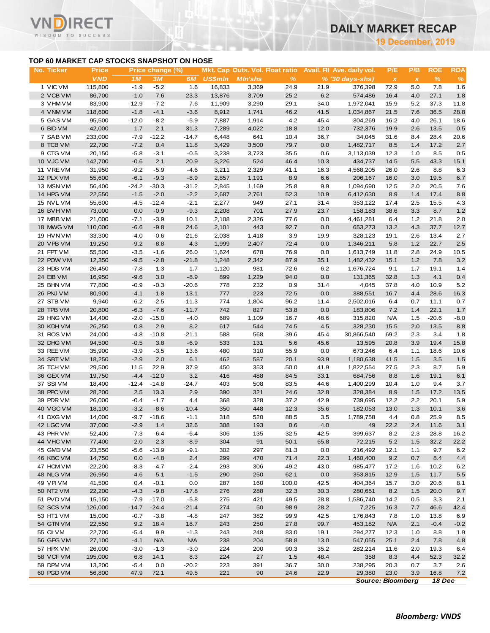**19 December, 2019**

# **TOP 60 MARKET CAP STOCKS SNAPSHOT ON HOSE**

Τ.

|                                           |                     |                  |                        |                |                |                                                   |               |             |                                                           |                                  | <b>19 December, 2019</b> |                    |                    |
|-------------------------------------------|---------------------|------------------|------------------------|----------------|----------------|---------------------------------------------------|---------------|-------------|-----------------------------------------------------------|----------------------------------|--------------------------|--------------------|--------------------|
| TOP 60 MARKET CAP STOCKS SNAPSHOT ON HOSE |                     |                  |                        |                |                |                                                   |               |             |                                                           |                                  |                          |                    |                    |
| No. Ticker                                | Price<br><b>VND</b> | 1M               | Price change (%)<br>3M | 6M             | <b>US\$mln</b> | Mkt. Cap Outs. Vol. Float ratio<br><b>MIn'shs</b> | $\frac{9}{6}$ |             | Avail. Fil Ave. daily vol.<br>$% (30 \, \text{days-shs})$ | P/E<br>$\boldsymbol{\mathsf{x}}$ | P/B<br>$\pmb{\chi}$      | <b>ROE</b><br>$\%$ | <b>ROA</b><br>$\%$ |
| 1 VIC VM                                  | 115,800             | $-1.9$           | $-5.2$                 | 1.6            | 16,833         | 3,369                                             | 24.9          | 21.9        | 376,398                                                   | 72.9                             | 5.0                      | 7.8                | 1.6                |
| 2 VCB VM                                  | 86,700              | $-1.0$           | 7.6                    | 23.3           | 13,876         | 3,709                                             | 25.2          | 6.2         | 574,486                                                   | 16.4                             | 4.0                      | 27.1               | 1.8                |
| 3 VHM VM                                  | 83,900              | $-12.9$          | $-7.2$                 | 7.6            | 11,909         | 3,290                                             | 29.1          | 34.0        | 1,972,041                                                 | 15.9                             | 5.2                      | 37.3               | 11.8               |
| 4 VNM VM                                  | 118,600             | $-1.8$           | $-4.1$                 | $-3.6$         | 8,912          | 1,741                                             | 46.2          | 41.5        | 1,034,867                                                 | 21.5                             | 7.6                      | 36.5               | 28.8               |
| 5 GAS VM                                  | 95,500              | $-12.0$          | $-8.2$                 | $-5.9$         | 7,887          | 1,914                                             | 4.2           | 45.4        | 304,269                                                   | 16.2                             | 4.0                      | 26.1               | 18.6               |
| 6 BID VM                                  | 42,000              | 1.7              | 2.1                    | 31.3           | 7,289          | 4,022                                             | 18.8          | 12.0        | 732,376                                                   | 19.9                             | 2.6                      | 13.5               | 0.5                |
| 7 SAB VM                                  | 233,000             | $-7.9$           | $-12.2$                | $-14.7$        | 6,448          | 641                                               | 10.4          | 36.7        | 34,045                                                    | 31.6                             | 8.4                      | 28.4               | 20.6               |
| 8 TCB VM                                  | 22,700              | $-7.2$           | 0.4                    | 11.8           | 3,429          | 3,500                                             | 79.7          | 0.0         | 1,482,717                                                 | 8.5                              | 1.4                      | 17.2               | 2.7                |
| 9 CTG VM                                  | 20,150              | $-5.8$           | $-3.1$                 | $-0.5$         | 3,238          | 3,723                                             | 35.5          | 0.6         | 3,113,039                                                 | 12.3                             | 1.0                      | 8.5                | 0.5                |
| 10 VJC VM                                 | 142,700             | $-0.6$           | 2.1                    | 20.9           | 3,226          | 524                                               | 46.4          | 10.3        | 434,737                                                   | 14.5                             | 5.5                      | 43.3               | 15.1               |
| 11 VREVM                                  | 31,950              | $-9.2$           | $-5.9$                 | $-4.6$         | 3,211          | 2,329                                             | 41.1          | 16.3        | 4,568,205                                                 | 26.0                             | 2.6                      | 8.8                | 6.3                |
| 12 PLX VM                                 | 55,600              | $-6.1$           | $-9.3$                 | $-8.9$         | 2,857          | 1,191                                             | 8.9           | 6.6         | 206,167                                                   | 16.0                             | 3.0                      | 19.5               | 6.7                |
| 13 MSN VM                                 | 56,400              | $-24.2$          | $-30.3$                | $-31.2$        | 2,845          | 1,169                                             | 25.8          | 9.9         | 1,094,690                                                 | 12.5                             | 2.0                      | 20.5               | 7.6                |
| 14 HPG VM                                 | 22,550              | $-1.5$           | $-2.0$                 | $-2.2$         | 2,687          | 2,761                                             | 52.3          | 10.9        | 6,412,630                                                 | 8.9                              | 1.4                      | 17.4               | 8.8                |
| 15 NVL VM                                 | 55,600              | $-4.5$           | $-12.4$                | $-2.1$         | 2,277          | 949                                               | 27.1          | 31.4        | 353,122                                                   | 17.4                             | 2.5                      | 15.5               | 4.3                |
| 16 BVHVM                                  | 73,000              | 0.0              | $-0.9$                 | $-9.3$         | 2,208          | 701                                               | 27.9          | 23.7        | 158,183                                                   | 38.6                             | 3.3                      | 8.7                | 1.2                |
| 17 MBB VM                                 | 21,000              | $-7.1$           | $-3.9$                 | 10.1           | 2,108          | 2,326                                             | 77.6          | 0.0         | 4,461,281                                                 | 6.4                              | 1.2                      | 21.8               | 2.0                |
| 18 MWG VM                                 | 110,000             | $-6.6$           | $-9.8$                 | 24.6           | 2,101          | 443                                               | 92.7          | 0.0         | 653,273                                                   | 13.2                             | 4.3                      | 37.7               | 12.7               |
| 19 HVN VM                                 | 33,300              | $-4.0$           | $-0.6$                 | $-21.6$        | 2,038          | 1,418                                             | 3.9           | 19.9        | 328,123                                                   | 19.1                             | 2.6                      | 13.4               | 2.7                |
| 20 VPB VM                                 | 19,250              | $-9.2$           | $-8.8$                 | 4.3            | 1,999          | 2,407                                             | 72.4          | 0.0         | 1,346,211                                                 | 5.8                              | 1.2                      | 22.7               | $2.5$              |
| 21 FPT VM                                 | 55,500              | $-3.5$           | $-1.6$                 | 26.0           | 1,624          | 678                                               | 76.9          | 0.0         | 1,613,749                                                 | 11.8                             | 2.8                      | 24.9               | 10.5               |
| 22 POW VM                                 | 12,350              | $-9.5$           | $-2.8$                 | $-21.8$        | 1,248          | 2,342                                             | 87.9          | 35.1        | 1,482,432                                                 | 15.1                             | 1.2                      | 7.8                | 3.2                |
| 23 HDB VM                                 | 26,450              | $-7.8$           | 1.3                    | 1.7            | 1,120          | 981                                               | 72.6          | 6.2         | 1,676,724                                                 | 9.1                              | 1.7                      | 19.1               | 1.4                |
| 24 EIB VM                                 | 16,950              | $-9.6$           | 3.0                    | $-8.9$         | 899            | 1,229                                             | 94.0          | 0.0         | 131,365                                                   | 32.8                             | 1.3                      | 4.1                | 0.4                |
| 25 BHN VM                                 | 77,800              | $-0.9$           | $-0.3$                 | $-20.6$        | 778            | 232                                               | 0.9           | 31.4        | 4,045                                                     | 37.8                             | 4.0                      | 10.9               | 5.2                |
| 26 PNJ VM                                 | 80,900              | $-4.1$           | $-1.8$                 | 13.1           | 777            | 223                                               | 72.5          | 0.0         | 388,551                                                   | 16.7                             | 4.4                      | 28.6               | 16.3               |
| 27 STB VM                                 | 9,940               | $-6.2$           | $-2.5$                 | $-11.3$        | 774            | 1,804                                             | 96.2          | 11.4        | 2,502,016                                                 | 6.4                              | 0.7                      | 11.1               | 0.7                |
| 28 TPB VM                                 | 20,800              | $-6.3$           | $-7.6$                 | $-11.7$        | 742            | 827                                               | 53.8          | 0.0         | 183,806                                                   | 7.2                              | 1.4                      | 22.1               | 1.7                |
| 29 HNG VM                                 | 14,400              | $-2.0$           | $-15.0$                | $-4.0$         | 689            | 1,109                                             | 16.7          | 48.6        | 315,820                                                   | <b>N/A</b>                       | 1.5                      | $-20.6$            | $-8.0$             |
| 30 KDH VM<br>31 ROS VM                    | 26,250              | 0.8              | 2.9                    | 8.2            | 617            | 544                                               | 74.5          | 4.5         | 328,230                                                   | 15.5                             | 2.0                      | 13.5               | 8.8                |
|                                           | 24,000              | $-4.8$           | $-10.8$                | $-21.1$        | 588            | 568                                               | 39.6          | 45.4        | 30,866,540                                                | 69.2                             | 2.3<br>3.9               | 3.4<br>19.4        | 1.8                |
| 32 DHG VM<br>33 REE VM                    | 94,500<br>35,900    | $-0.5$<br>$-3.9$ | 3.8<br>$-3.5$          | $-6.9$<br>13.6 | 533<br>480     | 131<br>310                                        | 5.6<br>55.9   | 45.6<br>0.0 | 13,595<br>673,246                                         | 20.8<br>6.4                      |                          | 18.6               | 15.8<br>10.6       |
| 34 SBT VM                                 | 18,250              | $-2.9$           | 2.0                    | 6.1            | 462            | 587                                               | 20.1          | 93.9        | 1,180,638                                                 | 41.5                             | 1.1<br>1.5               | 3.5                | 1.5                |
| 35 TCH VM                                 | 29,500              | 11.5             | 22.9                   | 37.9           | 450            | 353                                               | 50.0          | 41.9        | 1,822,554                                                 | 27.5                             | 2.3                      | 8.7                | 5.9                |
| 36 GEX VM                                 | 19,750              | $-4.4$           | $-12.0$                | 3.2            | 416            | 488                                               | 84.5          | 33.1        | 684,756                                                   | 8.8                              | 1.6                      | 19.1               | 6.1                |
| 37 SSIVM                                  | 18,400              | $-12.4$          | $-14.8$                | $-24.7$        | 403            | 508                                               | 83.5          | 44.6        | 1,400,299                                                 | 10.4                             | 1.0                      | 9.4                | 3.7                |
| 38 PPC VM                                 | 28,200              | 2.5              | 13.3                   | 2.9            | 390            | 321                                               | 24.6          | 32.8        | 328,384                                                   | 8.9                              | 1.5                      | 17.2               | 13.5               |
| 39 PDR VM                                 | 26,000              | $-0.4$           | $-1.7$                 | 4.4            | 368            | 328                                               | 37.2          | 42.9        | 739,695                                                   | 12.2                             | 2.2                      | 20.1               | 5.9                |
| 40 VGC VM                                 | 18,100              | $-3.2$           | $-8.6$                 | $-10.4$        | 350            | 448                                               | 12.3          | 35.6        | 182,053                                                   | 13.0                             | 1.3                      | 10.1               | $3.6\,$            |
| 41 DXG VM                                 | 14,000              | $-9.7$           | $-18.6$                | $-1.1$         | 318            | 520                                               | 88.5          | 3.5         | 1,789,758                                                 | 4.4                              | 0.8                      | 25.9               | 8.5                |
| 42 LGC VM                                 | 37,000              | $-2.9$           | 1.4                    | 32.6           | 308            | 193                                               | 0.6           | 4.0         | 49                                                        | 22.2                             | 2.4                      | 11.6               | 3.1                |
| 43 PHR VM                                 | 52,400              | $-7.3$           | $-6.4$                 | $-6.4$         | 306            | 135                                               | 32.5          | 42.5        | 399,637                                                   | 8.2                              | 2.3                      | 28.8               | 16.2               |
| 44 VHC VM                                 | 77,400              | $-2.0$           | $-2.3$                 | $-8.9$         | 304            | 91                                                | 50.1          | 65.8        | 72,215                                                    | 5.2                              | 1.5                      | 32.2               | 22.2               |
| 45 GMD VM                                 | 23,550              | $-5.6$           | $-13.9$                | -9.1           | 302            | 297                                               | 81.3          | 0.0         | 216,492                                                   | 12.1                             | 1.1                      | 9.7                | 6.2                |
| 46 KBC VM                                 | 14,750              | 0.0              | $-4.8$                 | 2.4            | 299            | 470                                               | 71.4          | 22.3        | 1,460,400                                                 | 9.2                              | 0.7                      | 8.4                | 4.4                |
| 47 HCM VM                                 | 22,200              | $-8.3$           | -4.7                   | $-2.4$         | 293            | 306                                               | 49.2          | 43.0        | 985,477                                                   | 17.2                             | 1.6                      | 10.2               | 6.2                |
| 48 NLG VM                                 | 26,950              | $-4.6$           | $-5.1$                 | $-1.5$         | 290            | 250                                               | 62.1          | 0.0         | 353,815                                                   | 12.9                             | 1.5                      | 11.7               | $5.5\,$            |
| 49 VPI VM                                 | 41,500              | 0.4              | $-0.1$                 | 0.0            | 287            | 160                                               | 100.0         | 42.5        | 404,364                                                   | 15.7                             | 3.0                      | 20.6               | 8.1                |
| 50 NT2 VM                                 | 22,200              | $-4.3$           | $-9.8$                 | $-17.8$        | 276            | 288                                               | 32.3          | 30.3        | 280,651                                                   | 8.2                              | 1.5                      | 20.0               | 9.7                |
| 51 PVD VM                                 | 15,150              | $-7.9$           | $-17.0$                | $-5.8$         | 275            | 421                                               | 49.5          | 28.8        | 1,586,740                                                 | 14.2                             | 0.5                      | 3.3                | 2.1                |
| 52 SCS VM                                 | 126,000             | $-14.7$          | $-24.4$                | $-21.4$        | 274            | 50                                                | 98.9          | 28.2        | 7,225                                                     | 16.3                             | 7.7                      | 46.6               | 42.4               |
| 53 HT1 VM                                 | 15,000              | $-0.7$           | $-3.8$                 | $-4.8$         | 247            | 382                                               | 99.9          | 42.5        | 176,843                                                   | 7.8                              | 1.0                      | 13.8               | 6.9                |
| 54 GTN VM                                 | 22,550              | 9.2              | 18.4                   | 18.7           | 243            | 250                                               | 27.8          | 99.7        | 453,182                                                   | <b>N/A</b>                       | 2.1                      | $-0.4$             | $-0.2$             |
| 55 CII VM                                 | 22,700              | $-5.4$           | 9.9                    | $-1.3$         | 243            | 248                                               | 83.0          | 19.1        | 294,277                                                   | 12.3                             | 1.0                      | 8.8                | 1.9                |
| 56 GEG VM                                 | 27,100              | $-4.1$           | <b>N/A</b>             | <b>N/A</b>     | 238            | 204                                               | 58.8          | 13.0        | 547,055                                                   | 25.1                             | 2.4                      | 7.8                | 4.8                |
| 57 HPX VM                                 | 26,000              | $-3.0$           | $-1.3$                 | $-3.0$         | 224            | 200                                               | 90.3          | 35.2        | 282,214                                                   | 11.6                             | 2.0                      | 19.3               | 6.4                |
| 58 VCF VM                                 | 195,000             | 6.8              | 14.1                   | 8.3            | 224            | 27                                                | 1.5           | 48.4        | 358                                                       | 8.3                              | 4.4                      | 52.3               | 32.2               |
| 59 DPM VM                                 | 13,200              | $-5.4$           | 0.0                    | $-20.2$        | 223            | 391                                               | 36.7          | 30.0        | 238,295                                                   | 20.3                             | 0.7                      | 3.7                | 2.6                |
| 60 PGD VM                                 | 56,800              | 47.9             | 72.1                   | 49.5           | 221            | 90                                                | 24.6          | 22.9        | 29,380                                                    | 23.0                             | 3.9                      | 16.8               | 7.2                |